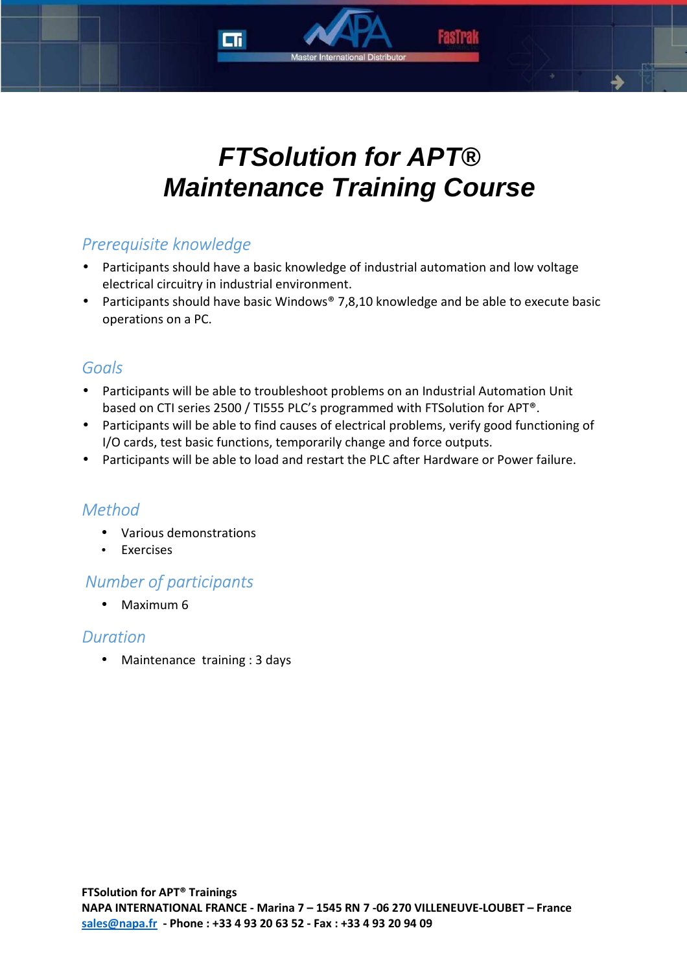# **FTSolution for APT® Maintenance Training Course**

# *Prerequisite knowledge*

- Participants should have a basic knowledge of industrial automation and low voltage electrical circuitry in industrial environment.
- Participants should have basic Windows® 7,8,10 knowledge and be able to execute basic operations on a PC.

# *Goals*

- Participants will be able to troubleshoot problems on an Industrial Automation Unit based on CTI series 2500 / TI555 PLC's programmed with FTSolution for APT®.
- Participants will be able to find causes of electrical problems, verify good functioning of I/O cards, test basic functions, temporarily change and force outputs.
- Participants will be able to load and restart the PLC after Hardware or Power failure.

# *Method*

- Various demonstrations
- Exercises

# *Number of participants*

• Maximum 6

## *Duration*

• Maintenance training : 3 days